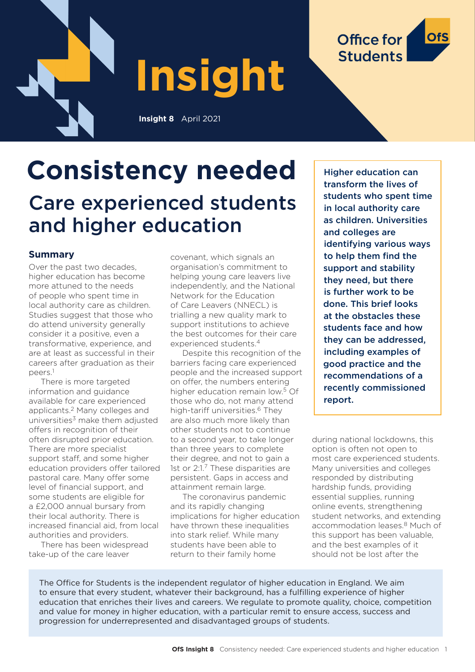



#### **Summary**

Over the past two decades, higher education has become more attuned to the needs of people who spent time in local authority care as children. Studies suggest that those who do attend university generally consider it a positive, even a transformative, experience, and are at least as successful in their careers after graduation as their peers.1

There is more targeted information and guidance available for care experienced applicants.2 Many colleges and universities $3$  make them adjusted offers in recognition of their often disrupted prior education. There are more specialist support staff, and some higher education providers offer tailored pastoral care. Many offer some level of financial support, and some students are eligible for a £2,000 annual bursary from their local authority. There is increased financial aid, from local authorities and providers.

There has been widespread take-up of the care leaver

covenant, which signals an organisation's commitment to helping young care leavers live independently, and the National Network for the Education of Care Leavers (NNECL) is trialling a new quality mark to support institutions to achieve the best outcomes for their care experienced students.4

Despite this recognition of the barriers facing care experienced people and the increased support on offer, the numbers entering higher education remain low.5 Of those who do, not many attend high-tariff universities.<sup>6</sup> They are also much more likely than other students not to continue to a second year, to take longer than three years to complete their degree, and not to gain a 1st or 2:1.7 These disparities are persistent. Gaps in access and attainment remain large.

The coronavirus pandemic and its rapidly changing implications for higher education have thrown these inequalities into stark relief. While many students have been able to return to their family home

Higher education can transform the lives of students who spent time in local authority care as children. Universities and colleges are identifying various ways to help them find the support and stability they need, but there is further work to be done. This brief looks at the obstacles these students face and how they can be addressed, including examples of good practice and the recommendations of a recently commissioned report.

Office for

**Students** 

during national lockdowns, this option is often not open to most care experienced students. Many universities and colleges responded by distributing hardship funds, providing essential supplies, running online events, strengthening student networks, and extending accommodation leases.8 Much of this support has been valuable, and the best examples of it should not be lost after the

The Office for Students is the independent regulator of higher education in England. We aim to ensure that every student, whatever their background, has a fulfilling experience of higher education that enriches their lives and careers. We regulate to promote quality, choice, competition and value for money in higher education, with a particular remit to ensure access, success and progression for underrepresented and disadvantaged groups of students.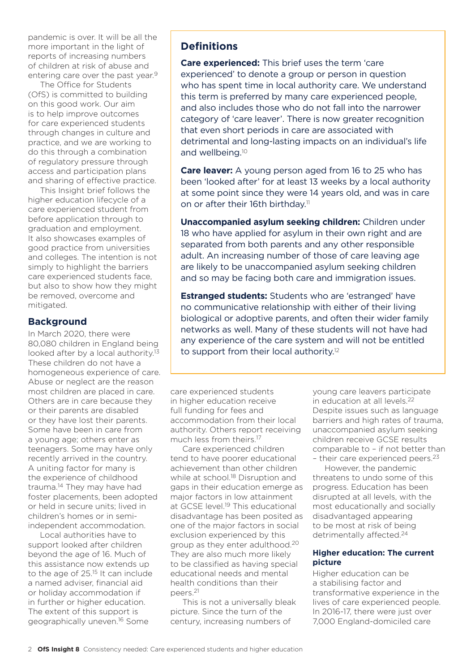pandemic is over. It will be all the more important in the light of reports of increasing numbers of children at risk of abuse and entering care over the past year.<sup>9</sup>

The Office for Students (OfS) is committed to building on this good work. Our aim is to help improve outcomes for care experienced students through changes in culture and practice, and we are working to do this through a combination of regulatory pressure through access and participation plans and sharing of effective practice.

This Insight brief follows the higher education lifecycle of a care experienced student from before application through to graduation and employment. It also showcases examples of good practice from universities and colleges. The intention is not simply to highlight the barriers care experienced students face, but also to show how they might be removed, overcome and mitigated.

#### **Background**

In March 2020, there were 80,080 children in England being looked after by a local authority.<sup>13</sup> These children do not have a homogeneous experience of care. Abuse or neglect are the reason most children are placed in care. Others are in care because they or their parents are disabled or they have lost their parents. Some have been in care from a young age; others enter as teenagers. Some may have only recently arrived in the country. A uniting factor for many is the experience of childhood trauma.14 They may have had foster placements, been adopted or held in secure units; lived in children's homes or in semiindependent accommodation.

Local authorities have to support looked after children beyond the age of 16. Much of this assistance now extends up to the age of 25.<sup>15</sup> It can include a named adviser, financial aid or holiday accommodation if in further or higher education. The extent of this support is geographically uneven.16 Some

# **Definitions**

**Care experienced:** This brief uses the term 'care experienced' to denote a group or person in question who has spent time in local authority care. We understand this term is preferred by many care experienced people, and also includes those who do not fall into the narrower category of 'care leaver'. There is now greater recognition that even short periods in care are associated with detrimental and long-lasting impacts on an individual's life and wellbeing.<sup>10</sup>

**Care leaver:** A young person aged from 16 to 25 who has been 'looked after' for at least 13 weeks by a local authority at some point since they were 14 years old, and was in care on or after their 16th birthday.<sup>11</sup>

**Unaccompanied asylum seeking children:** Children under 18 who have applied for asylum in their own right and are separated from both parents and any other responsible adult. An increasing number of those of care leaving age are likely to be unaccompanied asylum seeking children and so may be facing both care and immigration issues.

**Estranged students:** Students who are 'estranged' have no communicative relationship with either of their living biological or adoptive parents, and often their wider family networks as well. Many of these students will not have had any experience of the care system and will not be entitled to support from their local authority.12

care experienced students in higher education receive full funding for fees and accommodation from their local authority. Others report receiving much less from theirs.17

Care experienced children tend to have poorer educational achievement than other children while at school.<sup>18</sup> Disruption and gaps in their education emerge as major factors in low attainment at GCSE level.<sup>19</sup> This educational disadvantage has been posited as one of the major factors in social exclusion experienced by this group as they enter adulthood.20 They are also much more likely to be classified as having special educational needs and mental health conditions than their peers.21

This is not a universally bleak picture. Since the turn of the century, increasing numbers of

young care leavers participate in education at all levels.22 Despite issues such as language barriers and high rates of trauma, unaccompanied asylum seeking children receive GCSE results comparable to – if not better than - their care experienced peers.<sup>23</sup>

However, the pandemic threatens to undo some of this progress. Education has been disrupted at all levels, with the most educationally and socially disadvantaged appearing to be most at risk of being detrimentally affected.<sup>24</sup>

#### **Higher education: The current picture**

Higher education can be a stabilising factor and transformative experience in the lives of care experienced people. In 2016-17, there were just over 7,000 England-domiciled care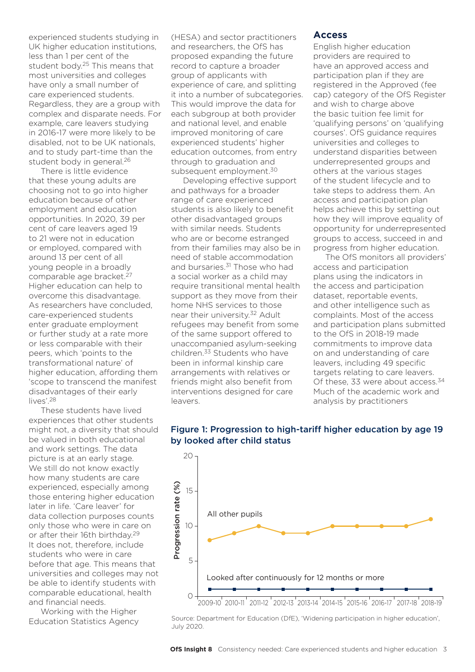experienced students studying in UK higher education institutions, less than 1 per cent of the student body.25 This means that most universities and colleges have only a small number of care experienced students. Regardless, they are a group with complex and disparate needs. For example, care leavers studying in 2016-17 were more likely to be disabled, not to be UK nationals, and to study part-time than the student body in general.26

There is little evidence that these young adults are choosing not to go into higher education because of other employment and education opportunities. In 2020, 39 per cent of care leavers aged 19 to 21 were not in education or employed, compared with around 13 per cent of all young people in a broadly comparable age bracket.27 Higher education can help to overcome this disadvantage. As researchers have concluded, care-experienced students enter graduate employment or further study at a rate more or less comparable with their peers, which 'points to the transformational nature' of higher education, affording them 'scope to transcend the manifest disadvantages of their early lives'.28

These students have lived experiences that other students might not, a diversity that should be valued in both educational and work settings. The data picture is at an early stage. We still do not know exactly how many students are care experienced, especially among those entering higher education later in life. 'Care leaver' for data collection purposes counts only those who were in care on or after their 16th birthday.29 It does not, therefore, include students who were in care before that age. This means that universities and colleges may not be able to identify students with comparable educational, health and financial needs.

Working with the Higher Education Statistics Agency (HESA) and sector practitioners and researchers, the OfS has proposed expanding the future record to capture a broader group of applicants with experience of care, and splitting it into a number of subcategories. This would improve the data for each subgroup at both provider and national level, and enable improved monitoring of care experienced students' higher education outcomes, from entry through to graduation and subsequent employment.<sup>30</sup>

Developing effective support and pathways for a broader range of care experienced students is also likely to benefit other disadvantaged groups with similar needs. Students who are or become estranged from their families may also be in need of stable accommodation and bursaries.<sup>31</sup> Those who had a social worker as a child may require transitional mental health support as they move from their home NHS services to those near their university.32 Adult refugees may benefit from some of the same support offered to unaccompanied asylum-seeking children.33 Students who have been in informal kinship care arrangements with relatives or friends might also benefit from interventions designed for care leavers.

#### **Access**

English higher education providers are required to have an approved access and participation plan if they are registered in the Approved (fee cap) category of the OfS Register and wish to charge above the basic tuition fee limit for 'qualifying persons' on 'qualifying courses'. OfS guidance requires universities and colleges to understand disparities between underrepresented groups and others at the various stages of the student lifecycle and to take steps to address them. An access and participation plan helps achieve this by setting out how they will improve equality of opportunity for underrepresented groups to access, succeed in and progress from higher education.

The OfS monitors all providers' access and participation plans using the indicators in the access and participation dataset, reportable events, and other intelligence such as complaints. Most of the access and participation plans submitted to the OfS in 2018-19 made commitments to improve data on and understanding of care leavers, including 49 specific targets relating to care leavers. Of these, 33 were about access.<sup>34</sup> Much of the academic work and analysis by practitioners



#### Figure 1: Progression to high-tariff higher education by age 19 by looked after child status

Source: Department for Education (DfE), 'Widening participation in higher education', July 2020.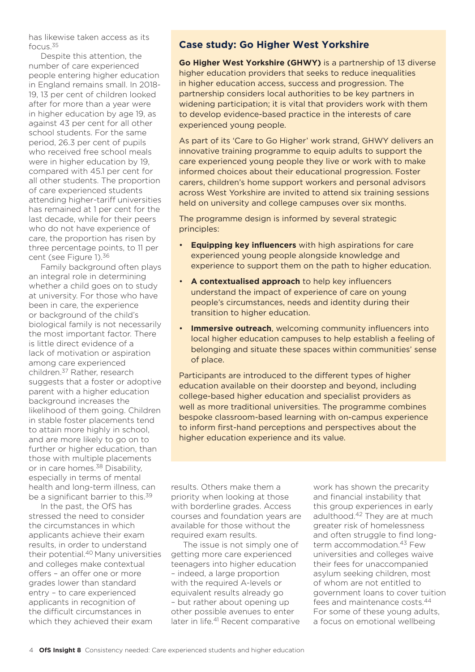has likewise taken access as its focus.35

Despite this attention, the number of care experienced people entering higher education in England remains small. In 2018- 19, 13 per cent of children looked after for more than a year were in higher education by age 19, as against 43 per cent for all other school students. For the same period, 26.3 per cent of pupils who received free school meals were in higher education by 19, compared with 45.1 per cent for all other students. The proportion of care experienced students attending higher-tariff universities has remained at 1 per cent for the last decade, while for their peers who do not have experience of care, the proportion has risen by three percentage points, to 11 per cent (see Figure 1).36

Family background often plays an integral role in determining whether a child goes on to study at university. For those who have been in care, the experience or background of the child's biological family is not necessarily the most important factor. There is little direct evidence of a lack of motivation or aspiration among care experienced children.37 Rather, research suggests that a foster or adoptive parent with a higher education background increases the likelihood of them going. Children in stable foster placements tend to attain more highly in school, and are more likely to go on to further or higher education, than those with multiple placements or in care homes.38 Disability, especially in terms of mental health and long-term illness, can be a significant barrier to this.<sup>39</sup>

In the past, the OfS has stressed the need to consider the circumstances in which applicants achieve their exam results, in order to understand their potential.40 Many universities and colleges make contextual offers – an offer one or more grades lower than standard entry – to care experienced applicants in recognition of the difficult circumstances in which they achieved their exam

# **Case study: Go Higher West Yorkshire**

**Go Higher West Yorkshire (GHWY)** is a partnership of 13 diverse higher education providers that seeks to reduce inequalities in higher education access, success and progression. The partnership considers local authorities to be key partners in widening participation; it is vital that providers work with them to develop evidence-based practice in the interests of care experienced young people.

As part of its 'Care to Go Higher' work strand, GHWY delivers an innovative training programme to equip adults to support the care experienced young people they live or work with to make informed choices about their educational progression. Foster carers, children's home support workers and personal advisors across West Yorkshire are invited to attend six training sessions held on university and college campuses over six months.

The programme design is informed by several strategic principles:

- **Equipping key influencers** with high aspirations for care experienced young people alongside knowledge and experience to support them on the path to higher education.
- **A contextualised approach** to help key influencers understand the impact of experience of care on young people's circumstances, needs and identity during their transition to higher education.
- **Immersive outreach**, welcoming community influencers into local higher education campuses to help establish a feeling of belonging and situate these spaces within communities' sense of place.

Participants are introduced to the different types of higher education available on their doorstep and beyond, including college-based higher education and specialist providers as well as more traditional universities. The programme combines bespoke classroom-based learning with on-campus experience to inform first-hand perceptions and perspectives about the higher education experience and its value.

results. Others make them a priority when looking at those with borderline grades. Access courses and foundation years are available for those without the required exam results.

The issue is not simply one of getting more care experienced teenagers into higher education – indeed, a large proportion with the required A-levels or equivalent results already go – but rather about opening up other possible avenues to enter later in life.<sup>41</sup> Recent comparative

work has shown the precarity and financial instability that this group experiences in early adulthood.42 They are at much greater risk of homelessness and often struggle to find longterm accommodation.<sup>43</sup> Few universities and colleges waive their fees for unaccompanied asylum seeking children, most of whom are not entitled to government loans to cover tuition fees and maintenance costs.<sup>44</sup> For some of these young adults, a focus on emotional wellbeing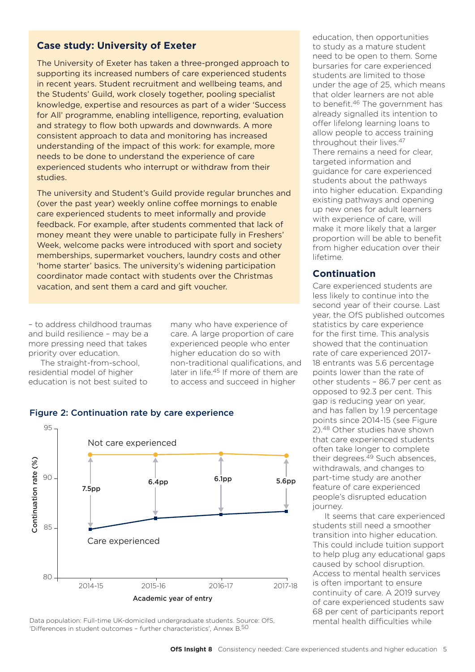## **Case study: University of Exeter**

The University of Exeter has taken a three-pronged approach to supporting its increased numbers of care experienced students in recent years. Student recruitment and wellbeing teams, and the Students' Guild, work closely together, pooling specialist knowledge, expertise and resources as part of a wider 'Success for All' programme, enabling intelligence, reporting, evaluation and strategy to flow both upwards and downwards. A more consistent approach to data and monitoring has increased understanding of the impact of this work: for example, more needs to be done to understand the experience of care experienced students who interrupt or withdraw from their studies.

The university and Student's Guild provide regular brunches and (over the past year) weekly online coffee mornings to enable care experienced students to meet informally and provide feedback. For example, after students commented that lack of money meant they were unable to participate fully in Freshers' Week, welcome packs were introduced with sport and society memberships, supermarket vouchers, laundry costs and other 'home starter' basics. The university's widening participation coordinator made contact with students over the Christmas vacation, and sent them a card and gift voucher.

– to address childhood traumas and build resilience – may be a more pressing need that takes priority over education.

The straight-from-school, residential model of higher education is not best suited to

many who have experience of care. A large proportion of care experienced people who enter higher education do so with non-traditional qualifications, and later in life.45 If more of them are to access and succeed in higher

education, then opportunities to study as a mature student need to be open to them. Some bursaries for care experienced students are limited to those under the age of 25, which means that older learners are not able to benefit.<sup>46</sup> The government has already signalled its intention to offer lifelong learning loans to allow people to access training throughout their lives.47 There remains a need for clear, targeted information and guidance for care experienced students about the pathways into higher education. Expanding existing pathways and opening up new ones for adult learners with experience of care, will make it more likely that a larger proportion will be able to benefit from higher education over their lifetime.

#### **Continuation**

Care experienced students are less likely to continue into the second year of their course. Last year, the OfS published outcomes statistics by care experience for the first time. This analysis showed that the continuation rate of care experienced 2017- 18 entrants was 5.6 percentage points lower than the rate of other students – 86.7 per cent as opposed to 92.3 per cent. This gap is reducing year on year, and has fallen by 1.9 percentage points since 2014-15 (see Figure 2).48 Other studies have shown that care experienced students often take longer to complete their degrees.<sup>49</sup> Such absences, withdrawals, and changes to part-time study are another feature of care experienced people's disrupted education journey.

It seems that care experienced students still need a smoother transition into higher education. This could include tuition support to help plug any educational gaps caused by school disruption. Access to mental health services is often important to ensure continuity of care. A 2019 survey of care experienced students saw 68 per cent of participants report mental health difficulties while

#### Figure 2: Continuation rate by care experience



Data population: Full-time UK-domiciled undergraduate students. Source: OfS, 'Differences in student outcomes – further characteristics', Annex B.50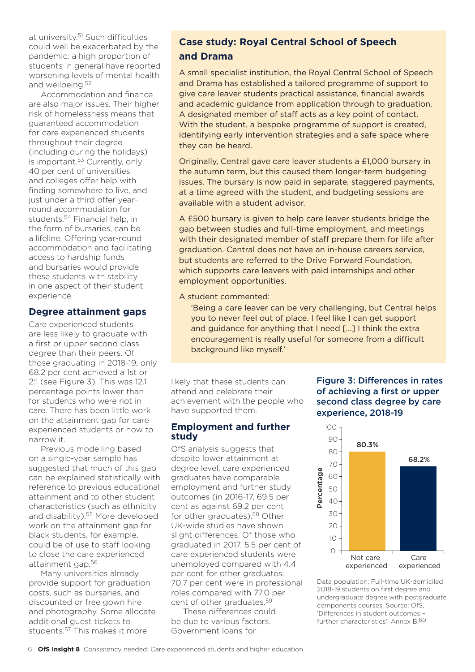at university.51 Such difficulties could well be exacerbated by the pandemic: a high proportion of students in general have reported worsening levels of mental health and wellbeing.52

Accommodation and finance are also major issues. Their higher risk of homelessness means that guaranteed accommodation for care experienced students throughout their degree (including during the holidays) is important.<sup>53</sup> Currently, only 40 per cent of universities and colleges offer help with finding somewhere to live, and just under a third offer yearround accommodation for students.54 Financial help, in the form of bursaries, can be a lifeline. Offering year-round accommodation and facilitating access to hardship funds and bursaries would provide these students with stability in one aspect of their student experience.

## **Degree attainment gaps**

Care experienced students are less likely to graduate with a first or upper second class degree than their peers. Of those graduating in 2018-19, only 68.2 per cent achieved a 1st or 2:1 (see Figure 3). This was 12.1 percentage points lower than for students who were not in care. There has been little work on the attainment gap for care experienced students or how to narrow it.

Previous modelling based on a single-year sample has suggested that much of this gap can be explained statistically with reference to previous educational attainment and to other student characteristics (such as ethnicity and disability).<sup>55</sup> More developed work on the attainment gap for black students, for example, could be of use to staff looking to close the care experienced attainment gap.56

Many universities already provide support for graduation costs, such as bursaries, and discounted or free gown hire and photography. Some allocate additional guest tickets to students.57 This makes it more

# **Case study: Royal Central School of Speech and Drama**

A small specialist institution, the Royal Central School of Speech and Drama has established a tailored programme of support to give care leaver students practical assistance, financial awards and academic guidance from application through to graduation. A designated member of staff acts as a key point of contact. With the student, a bespoke programme of support is created, identifying early intervention strategies and a safe space where they can be heard.

Originally, Central gave care leaver students a £1,000 bursary in the autumn term, but this caused them longer-term budgeting issues. The bursary is now paid in separate, staggered payments, at a time agreed with the student, and budgeting sessions are available with a student advisor.

A £500 bursary is given to help care leaver students bridge the gap between studies and full-time employment, and meetings with their designated member of staff prepare them for life after graduation. Central does not have an in-house careers service, but students are referred to the Drive Forward Foundation, which supports care leavers with paid internships and other employment opportunities.

A student commented:

'Being a care leaver can be very challenging, but Central helps you to never feel out of place. I feel like I can get support and guidance for anything that I need […] I think the extra encouragement is really useful for someone from a difficult background like myself.'

likely that these students can attend and celebrate their achievement with the people who have supported them.

#### **Employment and further study**

OfS analysis suggests that despite lower attainment at degree level, care experienced graduates have comparable employment and further study outcomes (in 2016-17, 69.5 per cent as against 69.2 per cent for other graduates).<sup>58</sup> Other UK-wide studies have shown slight differences. Of those who graduated in 2017, 5.5 per cent of care experienced students were unemployed compared with 4.4 per cent for other graduates. 70.7 per cent were in professional roles compared with 77.0 per cent of other graduates.59

These differences could be due to various factors. Government loans for

## Figure 3: Differences in rates of achieving a first or upper second class degree by care experience, 2018-19



Data population: Full-time UK-domiciled 2018-19 students on first degree and undergraduate degree with postgraduate components courses. Source: OfS, 'Differences in student outcomes – further characteristics', Annex B.60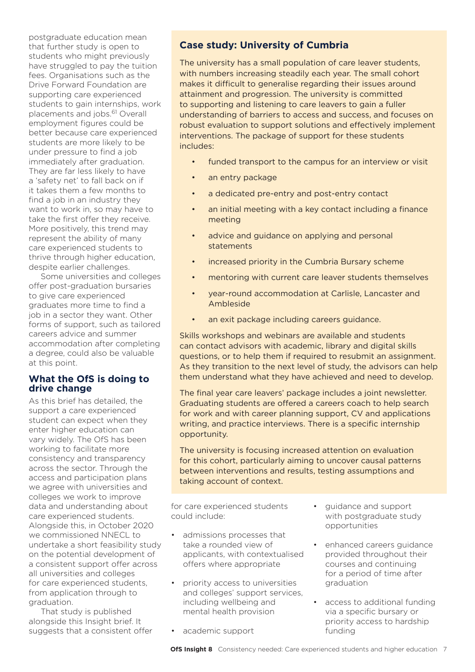postgraduate education mean that further study is open to students who might previously have struggled to pay the tuition fees. Organisations such as the Drive Forward Foundation are supporting care experienced students to gain internships, work placements and jobs.<sup>61</sup> Overall employment figures could be better because care experienced students are more likely to be under pressure to find a job immediately after graduation. They are far less likely to have a 'safety net' to fall back on if it takes them a few months to find a job in an industry they want to work in, so may have to take the first offer they receive. More positively, this trend may represent the ability of many care experienced students to thrive through higher education, despite earlier challenges.

Some universities and colleges offer post-graduation bursaries to give care experienced graduates more time to find a job in a sector they want. Other forms of support, such as tailored careers advice and summer accommodation after completing a degree, could also be valuable at this point.

#### **What the OfS is doing to drive change**

As this brief has detailed, the support a care experienced student can expect when they enter higher education can vary widely. The OfS has been working to facilitate more consistency and transparency across the sector. Through the access and participation plans we agree with universities and colleges we work to improve data and understanding about care experienced students. Alongside this, in October 2020 we commissioned NNECL to undertake a short feasibility study on the potential development of a consistent support offer across all universities and colleges for care experienced students, from application through to graduation.

That study is published alongside this Insight brief. It suggests that a consistent offer

# **Case study: University of Cumbria**

The university has a small population of care leaver students, with numbers increasing steadily each year. The small cohort makes it difficult to generalise regarding their issues around attainment and progression. The university is committed to supporting and listening to care leavers to gain a fuller understanding of barriers to access and success, and focuses on robust evaluation to support solutions and effectively implement interventions. The package of support for these students includes:

- funded transport to the campus for an interview or visit
- an entry package
- a dedicated pre-entry and post-entry contact
- an initial meeting with a key contact including a finance meeting
- advice and guidance on applying and personal statements
- increased priority in the Cumbria Bursary scheme
- mentoring with current care leaver students themselves
- year-round accommodation at Carlisle, Lancaster and Ambleside
- an exit package including careers guidance.

Skills workshops and webinars are available and students can contact advisors with academic, library and digital skills questions, or to help them if required to resubmit an assignment. As they transition to the next level of study, the advisors can help them understand what they have achieved and need to develop.

The final year care leavers' package includes a joint newsletter. Graduating students are offered a careers coach to help search for work and with career planning support, CV and applications writing, and practice interviews. There is a specific internship opportunity.

The university is focusing increased attention on evaluation for this cohort, particularly aiming to uncover causal patterns between interventions and results, testing assumptions and taking account of context.

for care experienced students could include:

- admissions processes that take a rounded view of applicants, with contextualised offers where appropriate
- priority access to universities and colleges' support services, including wellbeing and mental health provision

• academic support

- guidance and support with postgraduate study opportunities
- enhanced careers guidance provided throughout their courses and continuing for a period of time after graduation
- access to additional funding via a specific bursary or priority access to hardship funding
- **OfS Insight 8** Consistency needed: Care experienced students and higher education 7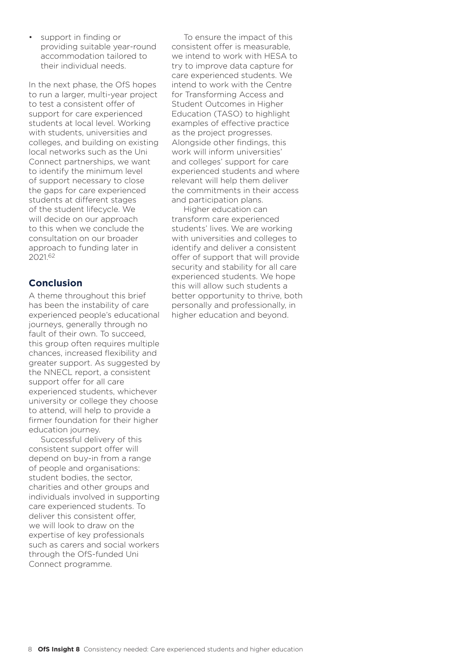support in finding or providing suitable year-round accommodation tailored to their individual needs.

In the next phase, the OfS hopes to run a larger, multi-year project to test a consistent offer of support for care experienced students at local level. Working with students, universities and colleges, and building on existing local networks such as the Uni Connect partnerships, we want to identify the minimum level of support necessary to close the gaps for care experienced students at different stages of the student lifecycle. We will decide on our approach to this when we conclude the consultation on our broader approach to funding later in 2021.62

# **Conclusion**

A theme throughout this brief has been the instability of care experienced people's educational journeys, generally through no fault of their own. To succeed, this group often requires multiple chances, increased flexibility and greater support. As suggested by the NNECL report, a consistent support offer for all care experienced students, whichever university or college they choose to attend, will help to provide a firmer foundation for their higher education journey.

Successful delivery of this consistent support offer will depend on buy-in from a range of people and organisations: student bodies, the sector, charities and other groups and individuals involved in supporting care experienced students. To deliver this consistent offer, we will look to draw on the expertise of key professionals such as carers and social workers through the OfS-funded Uni Connect programme.

To ensure the impact of this consistent offer is measurable, we intend to work with HESA to try to improve data capture for care experienced students. We intend to work with the Centre for Transforming Access and Student Outcomes in Higher Education (TASO) to highlight examples of effective practice as the project progresses. Alongside other findings, this work will inform universities' and colleges' support for care experienced students and where relevant will help them deliver the commitments in their access and participation plans.

Higher education can transform care experienced students' lives. We are working with universities and colleges to identify and deliver a consistent offer of support that will provide security and stability for all care experienced students. We hope this will allow such students a better opportunity to thrive, both personally and professionally, in higher education and beyond.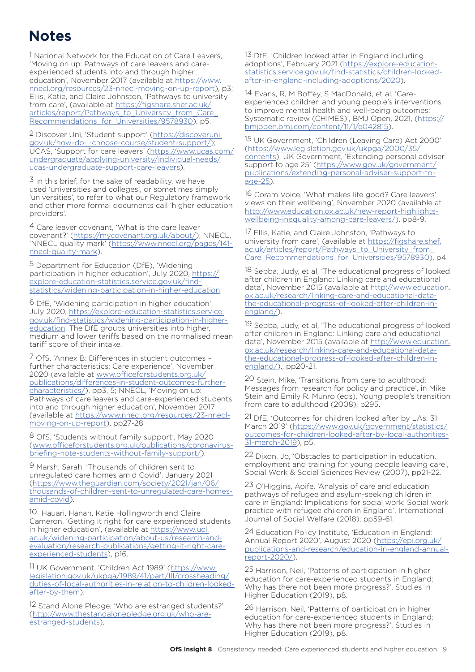# **Notes**

<sup>1</sup> National Network for the Education of Care Leavers, 'Moving on up: Pathways of care leavers and careexperienced students into and through higher education', November 2017 (available at [https://www.](https://www.nnecl.org/resources/23-nnecl-moving-on-up-report) [nnecl.org/resources/23-nnecl-moving-on-up-report](https://www.nnecl.org/resources/23-nnecl-moving-on-up-report)), p3; Ellis, Katie, and Claire Johnston, 'Pathways to university from care', (available at [https://figshare.shef.ac.uk/](https://figshare.shef.ac.uk/articles/report/Pathways_to_University_from_Care_Recommendations_for_Universities/9578930) articles/report/Pathways\_to\_University\_from\_Care Recommendations for Universities/9578930), p5.

2 Discover Uni, 'Student support' ([https://discoveruni.](https://discoveruni.gov.uk/how-do-i-choose-course/student-support/) [gov.uk/how-do-i-choose-course/student-support/](https://discoveruni.gov.uk/how-do-i-choose-course/student-support/)); UCAS, 'Support for care leavers' [\(https://www.ucas.com/](https://www.ucas.com/undergraduate/applying-university/individual-needs/ucas-undergraduate-support-c) [undergraduate/applying-university/individual-needs/](https://www.ucas.com/undergraduate/applying-university/individual-needs/ucas-undergraduate-support-c) [ucas-undergraduate-support-care-leavers\)](https://www.ucas.com/undergraduate/applying-university/individual-needs/ucas-undergraduate-support-c).

 $3$  In this brief, for the sake of readability, we have used 'universities and colleges', or sometimes simply 'universities', to refer to what our Regulatory framework and other more formal documents call 'higher education providers'.

4 Care leaver covenant, 'What is the care leaver covenant?' [\(https://mycovenant.org.uk/about/\)](https://mycovenant.org.uk/about/); NNECL, 'NNECL quality mark' [\(https://www.nnecl.org/pages/141](https://www.nnecl.org/pages/141-nnecl-quality-mark) [nnecl-quality-mark\)](https://www.nnecl.org/pages/141-nnecl-quality-mark).

5 Department for Education (DfE), 'Widening participation in higher education', July 2020, [https://](https://explore-education-statistics.service.gov.uk/find-statistics/widening-participation-in-higher-education) [explore-education-statistics.service.gov.uk/find](https://explore-education-statistics.service.gov.uk/find-statistics/widening-participation-in-higher-education)[statistics/widening-participation-in-higher-education.](https://explore-education-statistics.service.gov.uk/find-statistics/widening-participation-in-higher-education)

6 DfE, 'Widening participation in higher education', July 2020, [https://explore-education-statistics.service.](https://explore-education-statistics.service.gov.uk/find-statistics/widening-participation-in-higher-education) [gov.uk/find-statistics/widening-participation-in-higher](https://explore-education-statistics.service.gov.uk/find-statistics/widening-participation-in-higher-education)[education.](https://explore-education-statistics.service.gov.uk/find-statistics/widening-participation-in-higher-education) The DfE groups universities into higher, medium and lower tariffs based on the normalised mean tariff score of their intake.

7 OfS, 'Annex B: Differences in student outcomes – further characteristics: Care experience', November 2020 (available at [www.officeforstudents.org.uk/](https://www.officeforstudents.org.uk/publications/differences-in-student-outcomes-further-characteristics/) [publications/differences-in-student-outcomes-further](https://www.officeforstudents.org.uk/publications/differences-in-student-outcomes-further-characteristics/)[characteristics/\)](https://www.officeforstudents.org.uk/publications/differences-in-student-outcomes-further-characteristics/), pp3, 5; NNECL, 'Moving on up: Pathways of care leavers and care-experienced students into and through higher education', November 2017 (available at [https://www.nnecl.org/resources/23-nnecl](https://www.nnecl.org/resources/23-nnecl-moving-on-up-report)[moving-on-up-report](https://www.nnecl.org/resources/23-nnecl-moving-on-up-report)), pp27-28.

8 OfS, 'Students without family support', May 2020 ([www.officeforstudents.org.uk/publications/coronavirus](http://www.officeforstudents.org.uk/publications/coronavirus-briefing-note-students-without-family-support/)[briefing-note-students-without-family-support/](http://www.officeforstudents.org.uk/publications/coronavirus-briefing-note-students-without-family-support/)).

9 Marsh, Sarah, 'Thousands of children sent to unregulated care homes amid Covid', January 2021 ([https://www.theguardian.com/society/2021/jan/06/](https://www.theguardian.com/society/2021/jan/06/thousands-of-children-sent-to-unregulated-care-homes-amid-covid) [thousands-of-children-sent-to-unregulated-care-homes](https://www.theguardian.com/society/2021/jan/06/thousands-of-children-sent-to-unregulated-care-homes-amid-covid)[amid-covid](https://www.theguardian.com/society/2021/jan/06/thousands-of-children-sent-to-unregulated-care-homes-amid-covid)).

10 Hauari, Hanan, Katie Hollingworth and Claire Cameron, 'Getting it right for care experienced students in higher education', (available at [https://www.ucl.](https://www.ucl.ac.uk/widening-participation/about-us/research-and-evaluation/research-publications/getting-it-right-care-experienced-students) [ac.uk/widening-participation/about-us/research-and](https://www.ucl.ac.uk/widening-participation/about-us/research-and-evaluation/research-publications/getting-it-right-care-experienced-students)[evaluation/research-publications/getting-it-right-care](https://www.ucl.ac.uk/widening-participation/about-us/research-and-evaluation/research-publications/getting-it-right-care-experienced-students)[experienced-students\)](https://www.ucl.ac.uk/widening-participation/about-us/research-and-evaluation/research-publications/getting-it-right-care-experienced-students), p16.

11 UK Government, 'Children Act 1989' ([https://www.](https://www.legislation.gov.uk/ukpga/1989/41/part/III/crossheading/duties-of-local-authorities-in-relation-to-children-looked-after-by-them) [legislation.gov.uk/ukpga/1989/41/part/III/crossheading/](https://www.legislation.gov.uk/ukpga/1989/41/part/III/crossheading/duties-of-local-authorities-in-relation-to-children-looked-after-by-them) [duties-of-local-authorities-in-relation-to-children-looked](https://www.legislation.gov.uk/ukpga/1989/41/part/III/crossheading/duties-of-local-authorities-in-relation-to-children-looked-after-by-them)[after-by-them](https://www.legislation.gov.uk/ukpga/1989/41/part/III/crossheading/duties-of-local-authorities-in-relation-to-children-looked-after-by-them)).

12 Stand Alone Pledge, 'Who are estranged students?' ([http://www.thestandalonepledge.org.uk/who-are](http://www.thestandalonepledge.org.uk/who-are-estranged-students)[estranged-students\)](http://www.thestandalonepledge.org.uk/who-are-estranged-students).

<sup>13</sup> DfE, 'Children looked after in England including adoptions', February 2021 [\(https://explore-education](https://explore-education-statistics.service.gov.uk/find-statistics/children-looked-after-in-england-including-adoptions/2020)[statistics.service.gov.uk/find-statistics/children-looked](https://explore-education-statistics.service.gov.uk/find-statistics/children-looked-after-in-england-including-adoptions/2020)[after-in-england-including-adoptions/2020](https://explore-education-statistics.service.gov.uk/find-statistics/children-looked-after-in-england-including-adoptions/2020)).

14 Evans, R, M Boffey, S MacDonald, et al, 'Careexperienced children and young people's interventions to improve mental health and well-being outcomes: Systematic review (CHIMES)', BMJ Open, 2021, ([https://](https://bmjopen.bmj.com/content/11/1/e042815) [bmjopen.bmj.com/content/11/1/e042815\)](https://bmjopen.bmj.com/content/11/1/e042815).

15 UK Government, 'Children (Leaving Care) Act 2000' ([https://www.legislation.gov.uk/ukpga/2000/35/](https://www.legislation.gov.uk/ukpga/2000/35/contents) [contents](https://www.legislation.gov.uk/ukpga/2000/35/contents)); UK Government, 'Extending personal adviser support to age 25' ([https://www.gov.uk/government/](https://www.gov.uk/government/publications/extending-personal-adviser-support-to-age-25) [publications/extending-personal-adviser-support-to](https://www.gov.uk/government/publications/extending-personal-adviser-support-to-age-25)[age-25](https://www.gov.uk/government/publications/extending-personal-adviser-support-to-age-25)).

16 Coram Voice, 'What makes life good? Care leavers' views on their wellbeing', November 2020 (available at [http://www.education.ox.ac.uk/new-report-highlights](http://www.education.ox.ac.uk/new-report-highlights-wellbeing-inequality-among-care-leavers/)[wellbeing-inequality-among-care-leavers/\)](http://www.education.ox.ac.uk/new-report-highlights-wellbeing-inequality-among-care-leavers/), pp8-9.

17 Ellis, Katie, and Claire Johnston, 'Pathways to university from care', (available at [https://figshare.shef.](https://figshare.shef.ac.uk/articles/report/Pathways_to_University_from_Care_Recommendations_for_Universities/9578930) ac.uk/articles/report/Pathways\_to\_University\_from [Care\\_Recommendations\\_for\\_Universities/9578930](https://figshare.shef.ac.uk/articles/report/Pathways_to_University_from_Care_Recommendations_for_Universities/9578930)), p4.

18 Sebba, Judy, et al, 'The educational progress of looked after children in England: Linking care and educational data', November 2015 (available at [http://www.education.](http://www.education.ox.ac.uk/research/linking-care-and-educational-data-the-educational-progress-of-looked-after-children-in-england/) [ox.ac.uk/research/linking-care-and-educational-data](http://www.education.ox.ac.uk/research/linking-care-and-educational-data-the-educational-progress-of-looked-after-children-in-england/)[the-educational-progress-of-looked-after-children-in](http://www.education.ox.ac.uk/research/linking-care-and-educational-data-the-educational-progress-of-looked-after-children-in-england/)[england/\)](http://www.education.ox.ac.uk/research/linking-care-and-educational-data-the-educational-progress-of-looked-after-children-in-england/)

19 Sebba, Judy, et al, 'The educational progress of looked after children in England: Linking care and educational data', November 2015 (available at [http://www.education.](http://www.education.ox.ac.uk/research/linking-care-and-educational-data-the-educational-progress-of-looked-after-children-in-england/) [ox.ac.uk/research/linking-care-and-educational-data](http://www.education.ox.ac.uk/research/linking-care-and-educational-data-the-educational-progress-of-looked-after-children-in-england/)[the-educational-progress-of-looked-after-children-in](http://www.education.ox.ac.uk/research/linking-care-and-educational-data-the-educational-progress-of-looked-after-children-in-england/)[england/\)](http://www.education.ox.ac.uk/research/linking-care-and-educational-data-the-educational-progress-of-looked-after-children-in-england/)., pp20-21.

20 Stein, Mike, 'Transitions from care to adulthood: Messages from research for policy and practice', in Mike Stein and Emily R. Munro (eds), Young people's transition from care to adulthood (2008), p295.

21 DfE, 'Outcomes for children looked after by LAs: 31 March 2019' ([https://www.gov.uk/government/statistics/](https://www.gov.uk/government/statistics/outcomes-for-children-looked-after-by-local-authorities-31-march-2019) [outcomes-for-children-looked-after-by-local-authorities-](https://www.gov.uk/government/statistics/outcomes-for-children-looked-after-by-local-authorities-31-march-2019)[31-march-2019](https://www.gov.uk/government/statistics/outcomes-for-children-looked-after-by-local-authorities-31-march-2019)), p5.

22 Dixon, Jo, 'Obstacles to participation in education, employment and training for young people leaving care', Social Work & Social Sciences Review (2007), pp21-22.

23 O'Higgins, Aoife, 'Analysis of care and education pathways of refugee and asylum-seeking children in care in England: Implications for social work: Social work practice with refugee children in England', International Journal of Social Welfare (2018), pp59-61.

24 Education Policy Institute, 'Education in England: Annual Report 2020', August 2020 [\(https://epi.org.uk/](https://epi.org.uk/publications-and-research/education-in-england-annual-report-2020/) [publications-and-research/education-in-england-annual](https://epi.org.uk/publications-and-research/education-in-england-annual-report-2020/)[report-2020/\)](https://epi.org.uk/publications-and-research/education-in-england-annual-report-2020/).

25 Harrison, Neil, 'Patterns of participation in higher education for care-experienced students in England: Why has there not been more progress?', Studies in Higher Education (2019), p8.

26 Harrison, Neil, 'Patterns of participation in higher education for care-experienced students in England: Why has there not been more progress?', Studies in Higher Education (2019), p8.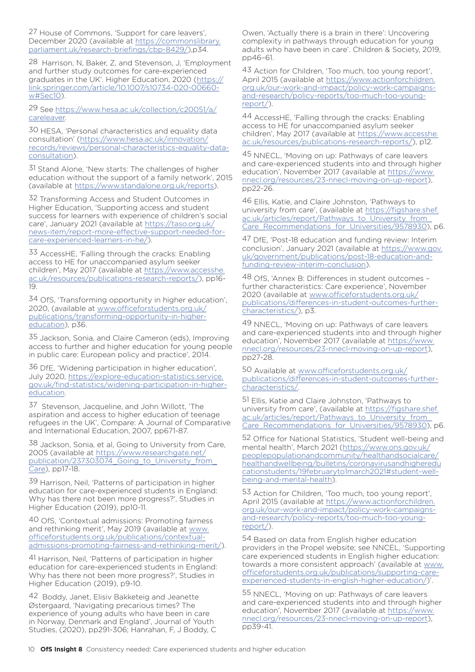27 House of Commons, 'Support for care leavers', December 2020 (available at [https://commonslibrary.](https://commonslibrary.parliament.uk/research-briefings/cbp-8429/) [parliament.uk/research-briefings/cbp-8429/](https://commonslibrary.parliament.uk/research-briefings/cbp-8429/)),p34.

28 Harrison, N, Baker, Z, and Stevenson, J, 'Employment and further study outcomes for care-experienced graduates in the UK'. Higher Education, 2020 ([https://](https://link.springer.com/article/10.1007/s10734-020-00660-w#Sec10) [link.springer.com/article/10.1007/s10734-020-00660](https://link.springer.com/article/10.1007/s10734-020-00660-w#Sec10) [w#Sec10](https://link.springer.com/article/10.1007/s10734-020-00660-w#Sec10)).

29 See [https://www.hesa.ac.uk/collection/c20051/a/](https://www.hesa.ac.uk/collection/c20051/a/careleaver) [careleaver](https://www.hesa.ac.uk/collection/c20051/a/careleaver).

30 HESA, 'Personal characteristics and equality data consultation' [\(https://www.hesa.ac.uk/innovation/](https://www.hesa.ac.uk/innovation/records/reviews/personal-characteristics-equality-data-consultation) [records/reviews/personal-characteristics-equality-data](https://www.hesa.ac.uk/innovation/records/reviews/personal-characteristics-equality-data-consultation)[consultation\)](https://www.hesa.ac.uk/innovation/records/reviews/personal-characteristics-equality-data-consultation).

31 Stand Alone, 'New starts: The challenges of higher education without the support of a family network', 2015 (available at [https://www.standalone.org.uk/reports](https://www.standalone.org.uk/reports/)).

32 Transforming Access and Student Outcomes in Higher Education, 'Supporting access and student success for learners with experience of children's social care', January 2021 (available at https://taso.org.uk, [news-item/report-more-effective-support-needed-for](https://taso.org.uk/news-item/report-more-effective-support-needed-for-care-experienced-learners-in-he/)[care-experienced-learners-in-he/](https://taso.org.uk/news-item/report-more-effective-support-needed-for-care-experienced-learners-in-he/)).

33 AccessHE, 'Falling through the cracks: Enabling access to HE for unaccompanied asylum seeker children', May 2017 (available at [https://www.accesshe.](https://www.accesshe.ac.uk/resources/publications-research-reports/) [ac.uk/resources/publications-research-reports/](https://www.accesshe.ac.uk/resources/publications-research-reports/)), pp16- 19.

34 OfS, 'Transforming opportunity in higher education', 2020, (available at [www.officeforstudents.org.uk/](https://www.officeforstudents.org.uk/publications/transforming-opportunity-in-higher-education/) [publications/transforming-opportunity-in-higher](https://www.officeforstudents.org.uk/publications/transforming-opportunity-in-higher-education/)[education](https://www.officeforstudents.org.uk/publications/transforming-opportunity-in-higher-education/)), p36.

35 Jackson, Sonia, and Claire Cameron (eds), Improving access to further and higher education for young people in public care: European policy and practice', 2014.

36 DfE, 'Widening participation in higher education', July 2020, [https://explore-education-statistics.service.](https://explore-education-statistics.service.gov.uk/find-statistics/widening-participation-in-higher-education) [gov.uk/find-statistics/widening-participation-in-higher](https://explore-education-statistics.service.gov.uk/find-statistics/widening-participation-in-higher-education)[education](https://explore-education-statistics.service.gov.uk/find-statistics/widening-participation-in-higher-education).

37 Stevenson, Jacqueline, and John Willott, 'The aspiration and access to higher education of teenage refugees in the UK', Compare: A Journal of Comparative and International Education, 2007, pp671-87.

38 Jackson, Sonia, et al, Going to University from Care, 2005 (available at [https://www.researchgate.net/](https://www.researchgate.net/publication/237303074_Going_to_University_from_Care) [publication/237303074\\_Going\\_to\\_University\\_from\\_](https://www.researchgate.net/publication/237303074_Going_to_University_from_Care) [Care\)](https://www.researchgate.net/publication/237303074_Going_to_University_from_Care), pp17-18.

39 Harrison, Neil, 'Patterns of participation in higher education for care-experienced students in England: Why has there not been more progress?', Studies in Higher Education (2019), pp10-11.

40 OfS, 'Contextual admissions: Promoting fairness and rethinking merit', May 2019 (available at [www.](https://www.officeforstudents.org.uk/publications/contextual-admissions-promoting-fairness-and-rethinking-merit/) [officeforstudents.org.uk/publications/contextual](https://www.officeforstudents.org.uk/publications/contextual-admissions-promoting-fairness-and-rethinking-merit/)[admissions-promoting-fairness-and-rethinking-merit/](https://www.officeforstudents.org.uk/publications/contextual-admissions-promoting-fairness-and-rethinking-merit/)).

41 Harrison, Neil, 'Patterns of participation in higher education for care-experienced students in England: Why has there not been more progress?', Studies in Higher Education (2019), p9-10.

42 Boddy, Janet, Elisiv Bakketeig and Jeanette Østergaard, 'Navigating precarious times? The experience of young adults who have been in care in Norway, Denmark and England', Journal of Youth Studies, (2020), pp291-306; Hanrahan, F, J Boddy, C Owen, 'Actually there is a brain in there': Uncovering complexity in pathways through education for young adults who have been in care'. Children & Society, 2019, pp46–61.

43 Action for Children, 'Too much, too young report', April 2015 (available at [https://www.actionforchildren.](https://www.actionforchildren.org.uk/our-work-and-impact/policy-work-campaigns-and-research/policy-reports/too-much-too-young-report/) [org.uk/our-work-and-impact/policy-work-campaigns](https://www.actionforchildren.org.uk/our-work-and-impact/policy-work-campaigns-and-research/policy-reports/too-much-too-young-report/)[and-research/policy-reports/too-much-too-young](https://www.actionforchildren.org.uk/our-work-and-impact/policy-work-campaigns-and-research/policy-reports/too-much-too-young-report/)[report/](https://www.actionforchildren.org.uk/our-work-and-impact/policy-work-campaigns-and-research/policy-reports/too-much-too-young-report/)).

44 AccessHE, 'Falling through the cracks: Enabling access to HE for unaccompanied asylum seeker children', May 2017 (available at [https://www.accesshe.](https://www.accesshe.ac.uk/resources/publications-research-reports/) [ac.uk/resources/publications-research-reports/\)](https://www.accesshe.ac.uk/resources/publications-research-reports/), p12.

45 NNECL, 'Moving on up: Pathways of care leavers and care-experienced students into and through higher education', November 2017 (available at [https://www.](https://www.nnecl.org/resources/23-nnecl-moving-on-up-report) [nnecl.org/resources/23-nnecl-moving-on-up-report](https://www.nnecl.org/resources/23-nnecl-moving-on-up-report)), pp22-26.

46 Ellis, Katie, and Claire Johnston, 'Pathways to university from care', (available at [https://figshare.shef.](https://figshare.shef.ac.uk/articles/report/Pathways_to_University_from_Care_Recommendations_for_Universities/9578930) [ac.uk/articles/report/Pathways\\_to\\_University\\_from\\_](https://figshare.shef.ac.uk/articles/report/Pathways_to_University_from_Care_Recommendations_for_Universities/9578930) [Care\\_Recommendations\\_for\\_Universities/9578930](https://figshare.shef.ac.uk/articles/report/Pathways_to_University_from_Care_Recommendations_for_Universities/9578930)), p6.

47 DfE, 'Post-18 education and funding review: Interim conclusion', January 2021 (available at [https://www.gov.](https://www.gov.uk/government/publications/post-18-education-and-funding-review-interim-conclusion) [uk/government/publications/post-18-education-and](https://www.gov.uk/government/publications/post-18-education-and-funding-review-interim-conclusion)[funding-review-interim-conclusion\)](https://www.gov.uk/government/publications/post-18-education-and-funding-review-interim-conclusion).

48 OfS, 'Annex B: Differences in student outcomes – further characteristics: Care experience', November 2020 (available at [www.officeforstudents.org.uk/](https://www.officeforstudents.org.uk/publications/differences-in-student-outcomes-further-characteristics/) [publications/differences-in-student-outcomes-further](https://www.officeforstudents.org.uk/publications/differences-in-student-outcomes-further-characteristics/)[characteristics/\)](https://www.officeforstudents.org.uk/publications/differences-in-student-outcomes-further-characteristics/), p3.

49 NNECL, 'Moving on up: Pathways of care leavers and care-experienced students into and through higher education', November 2017 (available at [https://www.](https://www.nnecl.org/resources/23-nnecl-moving-on-up-report) [nnecl.org/resources/23-nnecl-moving-on-up-report](https://www.nnecl.org/resources/23-nnecl-moving-on-up-report)), pp27-28.

50 Available at [www.officeforstudents.org.uk/](https://www.officeforstudents.org.uk/publications/differences-in-student-outcomes-further-characteristics/) [publications/differences-in-student-outcomes-further](https://www.officeforstudents.org.uk/publications/differences-in-student-outcomes-further-characteristics/)[characteristics/.](https://www.officeforstudents.org.uk/publications/differences-in-student-outcomes-further-characteristics/)

51 Ellis, Katie and Claire Johnston, 'Pathways to university from care', (available at [https://figshare.shef.](https://figshare.shef.ac.uk/articles/report/Pathways_to_University_from_Care_Recommendations_for_Universities/9578930) [ac.uk/articles/report/Pathways\\_to\\_University\\_from\\_](https://figshare.shef.ac.uk/articles/report/Pathways_to_University_from_Care_Recommendations_for_Universities/9578930) [Care\\_Recommendations\\_for\\_Universities/9578930](https://figshare.shef.ac.uk/articles/report/Pathways_to_University_from_Care_Recommendations_for_Universities/9578930)), p6.

52 Office for National Statistics, 'Student well-being and mental health', March 2021 ([https://www.ons.gov.uk/](https://www.ons.gov.uk/peoplepopulationandcommunity/healthandsocialcare/healthandwellbeing/bulletins/coronavirusandhighereducationstudents/19februaryto1march2021#student-well-being-and-mental-health) [peoplepopulationandcommunity/healthandsocialcare/](https://www.ons.gov.uk/peoplepopulationandcommunity/healthandsocialcare/healthandwellbeing/bulletins/coronavirusandhighereducationstudents/19februaryto1march2021#student-well-being-and-mental-health) [healthandwellbeing/bulletins/coronavirusandhigheredu](https://www.ons.gov.uk/peoplepopulationandcommunity/healthandsocialcare/healthandwellbeing/bulletins/coronavirusandhighereducationstudents/19februaryto1march2021#student-well-being-and-mental-health) [cationstudents/19februaryto1march2021#student-well](https://www.ons.gov.uk/peoplepopulationandcommunity/healthandsocialcare/healthandwellbeing/bulletins/coronavirusandhighereducationstudents/19februaryto1march2021#student-well-being-and-mental-health)[being-and-mental-health](https://www.ons.gov.uk/peoplepopulationandcommunity/healthandsocialcare/healthandwellbeing/bulletins/coronavirusandhighereducationstudents/19februaryto1march2021#student-well-being-and-mental-health)).

53 Action for Children, 'Too much, too young report', April 2015 (available at [https://www.actionforchildren.](https://www.actionforchildren.org.uk/our-work-and-impact/policy-work-campaigns-and-research/policy-reports/too-much-too-young-report/) [org.uk/our-work-and-impact/policy-work-campaigns](https://www.actionforchildren.org.uk/our-work-and-impact/policy-work-campaigns-and-research/policy-reports/too-much-too-young-report/)[and-research/policy-reports/too-much-too-young](https://www.actionforchildren.org.uk/our-work-and-impact/policy-work-campaigns-and-research/policy-reports/too-much-too-young-report/)[report/](https://www.actionforchildren.org.uk/our-work-and-impact/policy-work-campaigns-and-research/policy-reports/too-much-too-young-report/)).

54 Based on data from English higher education providers in the Propel website; see NNCEL, 'Supporting care experienced students in English higher education: towards a more consistent approach' (available at [www.](https://www.officeforstudents.org.uk/publications/supporting-care-experienced-students-in-english-higher-education/) [officeforstudents.org.uk/publications/supporting-care](https://www.officeforstudents.org.uk/publications/supporting-care-experienced-students-in-english-higher-education/)[experienced-students-in-english-higher-education/](https://www.officeforstudents.org.uk/publications/supporting-care-experienced-students-in-english-higher-education/))'.

55 NNECL, 'Moving on up: Pathways of care leavers and care-experienced students into and through higher education', November 2017 (available at [https://www.](https://www.nnecl.org/resources/23-nnecl-moving-on-up-report) [nnecl.org/resources/23-nnecl-moving-on-up-report](https://www.nnecl.org/resources/23-nnecl-moving-on-up-report)), pp39-41.